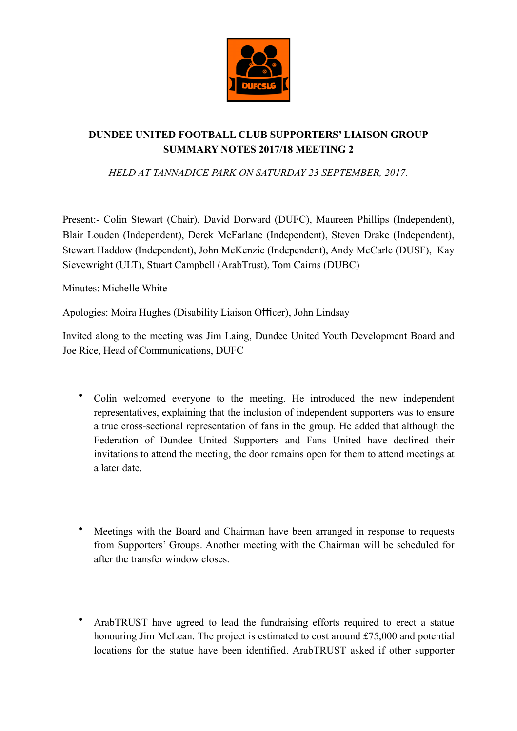

## **DUNDEE UNITED FOOTBALL CLUB SUPPORTERS' LIAISON GROUP SUMMARY NOTES 2017/18 MEETING 2**

*HELD AT TANNADICE PARK ON SATURDAY 23 SEPTEMBER, 2017.* 

Present:- Colin Stewart (Chair), David Dorward (DUFC), Maureen Phillips (Independent), Blair Louden (Independent), Derek McFarlane (Independent), Steven Drake (Independent), Stewart Haddow (Independent), John McKenzie (Independent), Andy McCarle (DUSF), Kay Sievewright (ULT), Stuart Campbell (ArabTrust), Tom Cairns (DUBC)

Minutes: Michelle White

Apologies: Moira Hughes (Disability Liaison Officer), John Lindsay

Invited along to the meeting was Jim Laing, Dundee United Youth Development Board and Joe Rice, Head of Communications, DUFC

- Colin welcomed everyone to the meeting. He introduced the new independent representatives, explaining that the inclusion of independent supporters was to ensure a true cross-sectional representation of fans in the group. He added that although the Federation of Dundee United Supporters and Fans United have declined their invitations to attend the meeting, the door remains open for them to attend meetings at a later date.
- Meetings with the Board and Chairman have been arranged in response to requests from Supporters' Groups. Another meeting with the Chairman will be scheduled for after the transfer window closes.
- ArabTRUST have agreed to lead the fundraising efforts required to erect a statue honouring Jim McLean. The project is estimated to cost around £75,000 and potential locations for the statue have been identified. ArabTRUST asked if other supporter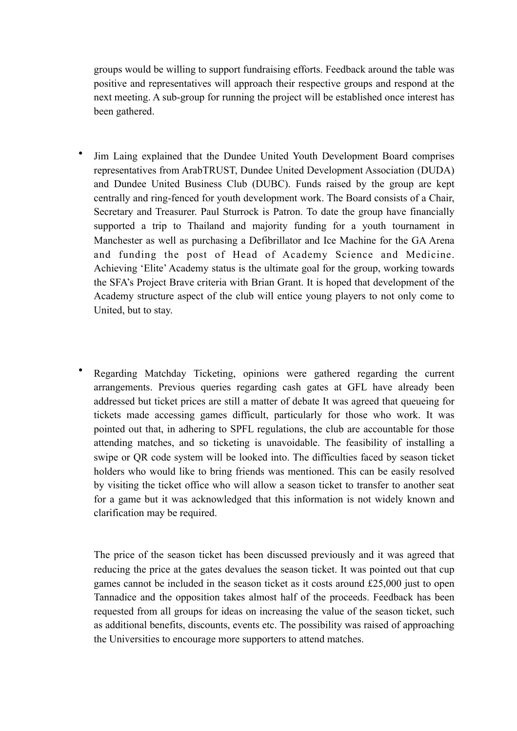groups would be willing to support fundraising efforts. Feedback around the table was positive and representatives will approach their respective groups and respond at the next meeting. A sub-group for running the project will be established once interest has been gathered.

- Jim Laing explained that the Dundee United Youth Development Board comprises representatives from ArabTRUST, Dundee United Development Association (DUDA) and Dundee United Business Club (DUBC). Funds raised by the group are kept centrally and ring-fenced for youth development work. The Board consists of a Chair, Secretary and Treasurer. Paul Sturrock is Patron. To date the group have financially supported a trip to Thailand and majority funding for a youth tournament in Manchester as well as purchasing a Defibrillator and Ice Machine for the GA Arena and funding the post of Head of Academy Science and Medicine. Achieving 'Elite' Academy status is the ultimate goal for the group, working towards the SFA's Project Brave criteria with Brian Grant. It is hoped that development of the Academy structure aspect of the club will entice young players to not only come to United, but to stay.
- Regarding Matchday Ticketing, opinions were gathered regarding the current arrangements. Previous queries regarding cash gates at GFL have already been addressed but ticket prices are still a matter of debate It was agreed that queueing for tickets made accessing games difficult, particularly for those who work. It was pointed out that, in adhering to SPFL regulations, the club are accountable for those attending matches, and so ticketing is unavoidable. The feasibility of installing a swipe or QR code system will be looked into. The difficulties faced by season ticket holders who would like to bring friends was mentioned. This can be easily resolved by visiting the ticket office who will allow a season ticket to transfer to another seat for a game but it was acknowledged that this information is not widely known and clarification may be required.

The price of the season ticket has been discussed previously and it was agreed that reducing the price at the gates devalues the season ticket. It was pointed out that cup games cannot be included in the season ticket as it costs around £25,000 just to open Tannadice and the opposition takes almost half of the proceeds. Feedback has been requested from all groups for ideas on increasing the value of the season ticket, such as additional benefits, discounts, events etc. The possibility was raised of approaching the Universities to encourage more supporters to attend matches.